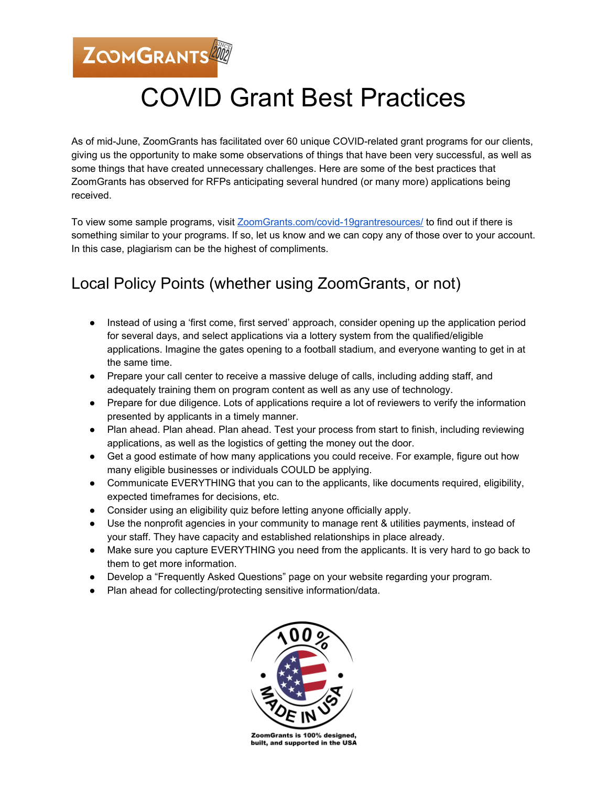ZOOMGRANTS

## COVID Grant Best Practices

As of mid-June, ZoomGrants has facilitated over 60 unique COVID-related grant programs for our clients, giving us the opportunity to make some observations of things that have been very successful, as well as some things that have created unnecessary challenges. Here are some of the best practices that ZoomGrants has observed for RFPs anticipating several hundred (or many more) applications being received.

To view some sample programs, visit [ZoomGrants.com/covid-19grantresources/](https://www.zoomgrants.com/covid-19grantresources/) to find out if there is something similar to your programs. If so, let us know and we can copy any of those over to your account. In this case, plagiarism can be the highest of compliments.

## Local Policy Points (whether using ZoomGrants, or not)

- Instead of using a 'first come, first served' approach, consider opening up the application period for several days, and select applications via a lottery system from the qualified/eligible applications. Imagine the gates opening to a football stadium, and everyone wanting to get in at the same time.
- Prepare your call center to receive a massive deluge of calls, including adding staff, and adequately training them on program content as well as any use of technology.
- Prepare for due diligence. Lots of applications require a lot of reviewers to verify the information presented by applicants in a timely manner.
- Plan ahead. Plan ahead. Plan ahead. Test your process from start to finish, including reviewing applications, as well as the logistics of getting the money out the door.
- Get a good estimate of how many applications you could receive. For example, figure out how many eligible businesses or individuals COULD be applying.
- Communicate EVERYTHING that you can to the applicants, like documents required, eligibility, expected timeframes for decisions, etc.
- Consider using an eligibility quiz before letting anyone officially apply.
- Use the nonprofit agencies in your community to manage rent & utilities payments, instead of your staff. They have capacity and established relationships in place already.
- Make sure you capture EVERYTHING you need from the applicants. It is very hard to go back to them to get more information.
- Develop a "Frequently Asked Questions" page on your website regarding your program.
- Plan ahead for collecting/protecting sensitive information/data.



ZoomGrants is 100% designed, built, and supported in the USA